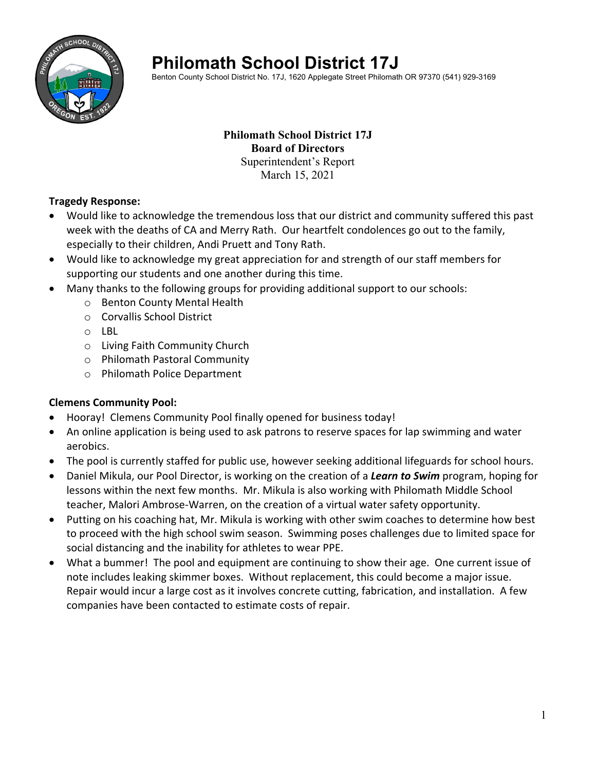

# **Philomath School District 17J**

Benton County School District No. 17J, 1620 Applegate Street Philomath OR 97370 (541) 929-3169

#### **Philomath School District 17J Board of Directors**  Superintendent's Report March 15, 2021

#### **Tragedy Response:**

- Would like to acknowledge the tremendous loss that our district and community suffered this past week with the deaths of CA and Merry Rath. Our heartfelt condolences go out to the family, especially to their children, Andi Pruett and Tony Rath.
- Would like to acknowledge my great appreciation for and strength of our staff members for supporting our students and one another during this time.
- Many thanks to the following groups for providing additional support to our schools:
	- o Benton County Mental Health
	- o Corvallis School District
	- o LBL
	- o Living Faith Community Church
	- o Philomath Pastoral Community
	- o Philomath Police Department

#### **Clemens Community Pool:**

- Hooray! Clemens Community Pool finally opened for business today!
- An online application is being used to ask patrons to reserve spaces for lap swimming and water aerobics.
- The pool is currently staffed for public use, however seeking additional lifeguards for school hours.
- Daniel Mikula, our Pool Director, is working on the creation of a *Learn to Swim* program, hoping for lessons within the next few months. Mr. Mikula is also working with Philomath Middle School teacher, Malori Ambrose‐Warren, on the creation of a virtual water safety opportunity.
- Putting on his coaching hat, Mr. Mikula is working with other swim coaches to determine how best to proceed with the high school swim season. Swimming poses challenges due to limited space for social distancing and the inability for athletes to wear PPE.
- What a bummer! The pool and equipment are continuing to show their age. One current issue of note includes leaking skimmer boxes. Without replacement, this could become a major issue. Repair would incur a large cost as it involves concrete cutting, fabrication, and installation. A few companies have been contacted to estimate costs of repair.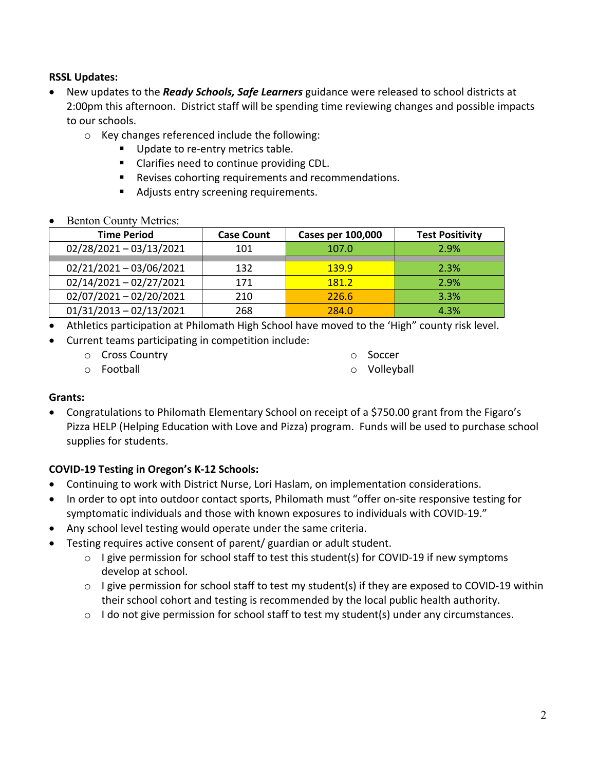#### **RSSL Updates:**

- New updates to the *Ready Schools, Safe Learners* guidance were released to school districts at 2:00pm this afternoon. District staff will be spending time reviewing changes and possible impacts to our schools.
	- o Key changes referenced include the following:
		- Update to re-entry metrics table.
		- Clarifies need to continue providing CDL.
		- **Revises cohorting requirements and recommendations.**
		- Adjusts entry screening requirements.
- Benton County Metrics:

| <b>Time Period</b>        | <b>Case Count</b> | <b>Cases per 100,000</b> | <b>Test Positivity</b> |
|---------------------------|-------------------|--------------------------|------------------------|
| $02/28/2021 - 03/13/2021$ | 101               | 107.0                    | 2.9%                   |
| $02/21/2021 - 03/06/2021$ | 132               | <b>139.9</b>             | 2.3%                   |
| $02/14/2021 - 02/27/2021$ | 171               | 181.2                    | 2.9%                   |
| $02/07/2021 - 02/20/2021$ | 210               | 226.6                    | 3.3%                   |
| $01/31/2013 - 02/13/2021$ | 268               | 284.0                    | 4.3%                   |

- Athletics participation at Philomath High School have moved to the 'High" county risk level.
- Current teams participating in competition include:
	- o Cross Country
	- o Football
- o Soccer
- o Volleyball

## **Grants:**

 Congratulations to Philomath Elementary School on receipt of a \$750.00 grant from the Figaro's Pizza HELP (Helping Education with Love and Pizza) program. Funds will be used to purchase school supplies for students.

## **COVID‐19 Testing in Oregon's K‐12 Schools:**

- Continuing to work with District Nurse, Lori Haslam, on implementation considerations.
- In order to opt into outdoor contact sports, Philomath must "offer on-site responsive testing for symptomatic individuals and those with known exposures to individuals with COVID‐19."
- Any school level testing would operate under the same criteria.
- Testing requires active consent of parent/ guardian or adult student.
	- o I give permission for school staff to test this student(s) for COVID‐19 if new symptoms develop at school.
	- o I give permission for school staff to test my student(s) if they are exposed to COVID‐19 within their school cohort and testing is recommended by the local public health authority.
	- o I do not give permission for school staff to test my student(s) under any circumstances.